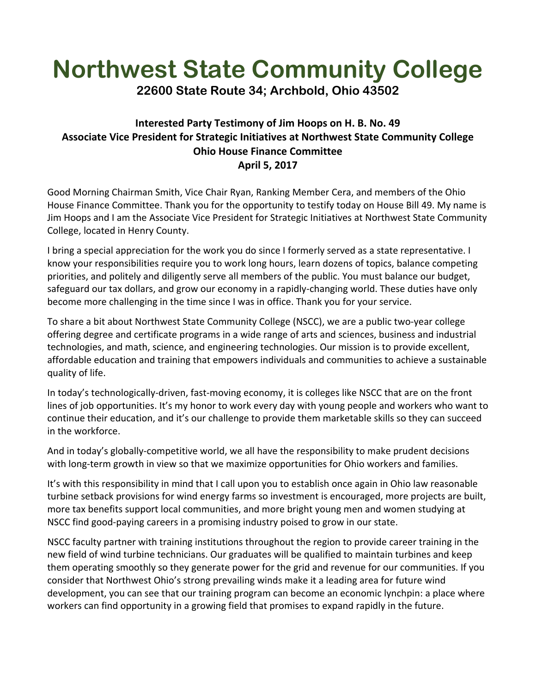## **Northwest State Community College**

**22600 State Route 34; Archbold, Ohio 43502**

## **Interested Party Testimony of Jim Hoops on H. B. No. 49 Associate Vice President for Strategic Initiatives at Northwest State Community College Ohio House Finance Committee April 5, 2017**

Good Morning Chairman Smith, Vice Chair Ryan, Ranking Member Cera, and members of the Ohio House Finance Committee. Thank you for the opportunity to testify today on House Bill 49. My name is Jim Hoops and I am the Associate Vice President for Strategic Initiatives at Northwest State Community College, located in Henry County.

I bring a special appreciation for the work you do since I formerly served as a state representative. I know your responsibilities require you to work long hours, learn dozens of topics, balance competing priorities, and politely and diligently serve all members of the public. You must balance our budget, safeguard our tax dollars, and grow our economy in a rapidly-changing world. These duties have only become more challenging in the time since I was in office. Thank you for your service.

To share a bit about Northwest State Community College (NSCC), we are a public two-year college offering degree and certificate programs in a wide range of arts and sciences, business and industrial technologies, and math, science, and engineering technologies. Our mission is to provide excellent, affordable education and training that empowers individuals and communities to achieve a sustainable quality of life.

In today's technologically-driven, fast-moving economy, it is colleges like NSCC that are on the front lines of job opportunities. It's my honor to work every day with young people and workers who want to continue their education, and it's our challenge to provide them marketable skills so they can succeed in the workforce.

And in today's globally-competitive world, we all have the responsibility to make prudent decisions with long-term growth in view so that we maximize opportunities for Ohio workers and families.

It's with this responsibility in mind that I call upon you to establish once again in Ohio law reasonable turbine setback provisions for wind energy farms so investment is encouraged, more projects are built, more tax benefits support local communities, and more bright young men and women studying at NSCC find good-paying careers in a promising industry poised to grow in our state.

NSCC faculty partner with training institutions throughout the region to provide career training in the new field of wind turbine technicians. Our graduates will be qualified to maintain turbines and keep them operating smoothly so they generate power for the grid and revenue for our communities. If you consider that Northwest Ohio's strong prevailing winds make it a leading area for future wind development, you can see that our training program can become an economic lynchpin: a place where workers can find opportunity in a growing field that promises to expand rapidly in the future.